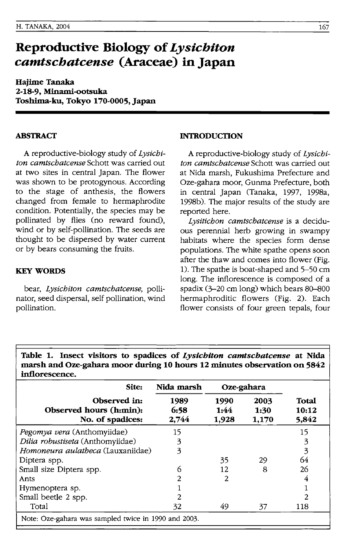# **Reproductive Biology of** *Lysichiton camtschatcense* **(Araceae) in Japan**

**Hajime Tanaka 2-18-9, Minami-ootsuka Toshima-ku, Tokyo 170-0005, Japan** 

# **ABSTRACf**

A reproductive-biology study of *Lystcbtton camtscbatcense* Schott was carried out at two sites in central Japan. The flower was shown to be protogynous. According to the stage of anthesis, the flowers changed from female to hermaphrodite condition. Potentially, the species may be pollinated by flies (no reward found), wind or by self-pollination. The seeds are thought to be dispersed by water current or by bears consuming the fruits.

#### **KEY WORDS**

bear, *Lystcbtton camtscbatcense,* pollinator, seed dispersal, self pollination, wind pollination.

#### **INTRODUCTION**

A reproductive-biology study of *Lystcbtton camtscbatcense* Schott was carried out at Nida marsh, Fukushima Prefecture and Oze-gahara moor, Gunma Prefecture, both in central Japan (Tanaka, 1997, 1998a, 1998b). The major results of the study are reported here.

*Lystttcbon camtscbatcense* is a deciduous perennial herb growing in swampy habitats where the species form dense populations. The white spathe opens soon after the thaw and comes into flower (Fig. 1). The spathe is boat-shaped and 5-50 cm long. The inflorescence is composed of a spadix  $(3-20 \text{ cm} \log)$  which bears  $80-800$ hermaphroditic flowers (Fig. 2). Each flower consists of four green tepals, four

**Table 1. Insect visitors to spadices of** *Lysichiton camtschatcense* **at Nida marsh and Oze-gahara moor during 10 hours 12 minutes observation on 5842 inflorescence.** 

| Site:                                                       | Nida marsh            | Oze-gahara            |                       |                         |  |
|-------------------------------------------------------------|-----------------------|-----------------------|-----------------------|-------------------------|--|
| Observed in:<br>Observed hours (h:min):<br>No. of spadices: | 1989<br>6:58<br>2.744 | 1990<br>1:44<br>1,928 | 2003<br>1:30<br>1,170 | Total<br>10:12<br>5,842 |  |
| Pegomya vera (Anthomyiidae)                                 | 15                    |                       |                       | 15                      |  |
| Dilia robustiseta (Anthomyiidae)                            | 3                     |                       |                       | 3                       |  |
| Homoneura aulatheca (Lauxaniidae)                           | 3                     |                       |                       | 3                       |  |
| Diptera spp.                                                |                       | 35                    | 29                    | 64                      |  |
| Small size Diptera spp.                                     | 6                     | 12.                   | 8                     | 26                      |  |
| Ants                                                        | 2                     | 2                     |                       |                         |  |
| Hymenoptera sp.                                             |                       |                       |                       |                         |  |
| Small beetle 2 spp.                                         | 2                     |                       |                       | 2                       |  |
| Total                                                       | 32                    | 49                    | 37                    | 118                     |  |
| Note: Oze-gahara was sampled twice in 1990 and 2003.        |                       |                       |                       |                         |  |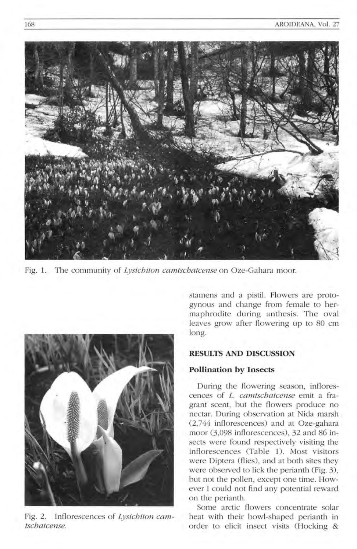

Fig. 1. The community of *Lysichiton camtschatcense* on Oze-Gahara moor.



Fig. 2. Inflorescences of *Lysichiton camtschatcense.* 

stamens and a pistil. Flowers are protogynous and change from female to hermaphrodite during anthesis. The oval leaves grow after flowering up to 80 cm long.

# **RESULTS AND DISCUSSION**

#### **Pollination by Insects**

During the flowering season, inflorescences of L. *camlschatcense* emit a fragrant scent, but the flowers produce no nectar. During observation at Nida marsh (2,744 inflorescences) and at Oze-gahara moor (3,098 inflorescences), 32 and 86 insects were found respectively visiting the inflorescences (Table 1). Most visitors were Diptera (flies), and at both sites they were observed to lick the perianth (Fig. 3), but not the pollen, except one time. However I could not find any potential reward on the perianth.

Some arctic flowers concentrate solar heat with their bowl-shaped perianth in order to elicit insect visits (Hocking &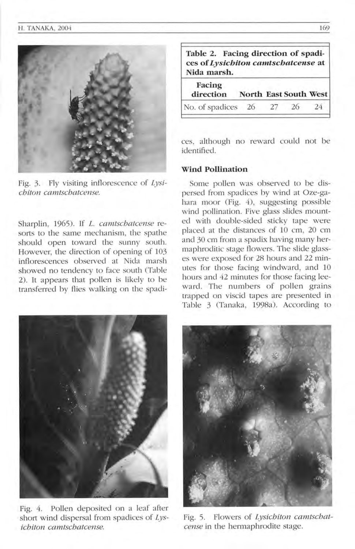

Fig. 3. Fly visiting inflorescence of *Lysichiton camtscbatcense.* 

Sharplin, 1965). If *L. camlschatcense* resorts to the same mechanism, the spathe should open toward the sunny south. However, the direction of opening of 103 inflorescences observed at Nida marsh showed no tendency to face south (Table 2). It appears that pollen is likely to be transferred by flies walking on the spadi-

| Table 2. Facing direction of spadi-<br>ces of Lysichiton camtschatcense at<br>Nida marsh. |                       |    |    |    |  |  |  |
|-------------------------------------------------------------------------------------------|-----------------------|----|----|----|--|--|--|
| Facing<br>direction                                                                       | North East South West |    |    |    |  |  |  |
| No. of spadices 26                                                                        |                       | 27 | 26 | 24 |  |  |  |

ces, although no reward could not be identified.

## **Wind Pollination**

Some pollen was observed to be dispersed from spadices by wind at Oze-gahara moor (Fig. 4), suggesting possible wind pollination. Five glass slides mounted with double-sided sticky tape were placed at the distances of 10 cm, 20 cm and 30 cm from a spadix having many hermaphroditic stage flowers. The slide glasses were exposed for 28 hours and 22 minutes for those facing windward, and 10 hours and 42 minutes for those facing leeward. The numbers of pollen grains trapped on viscid tapes are presented in Table 3 (Tanaka, 1998a). According to



Fig. 4. Pollen deposited on a leaf after short wind dispersal from spadices of *Lysichiton camtschatcense.* 



Fig. 5. Flowers of *Lysichiton camtschatcense* in the hermaphrodite stage.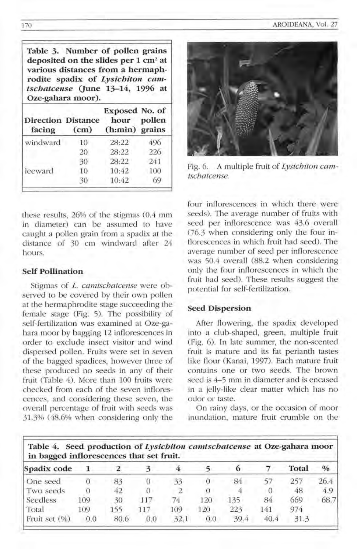**Table 3. Number of pollen grains deposited on the slides per 1 cm2 at various distances from a hermaphrodite spadix of** *Lysichiton camtschatcense* (June 13-14, 1996 at **Oze-gahara moor).** 

| <b>Direction Distance</b><br>facing | (c <sub>m</sub> ) | Exposed No. of<br>hour<br>(h:min) grains | pollen |
|-------------------------------------|-------------------|------------------------------------------|--------|
| windward                            | 10                | 28:22                                    | 496    |
|                                     | 20                | 28:22                                    | 226    |
|                                     | 30                | 28:22                                    | 241    |
| leeward                             | 10                | 10:42                                    | 100    |
|                                     | 30                | 10:42                                    | 69     |

these results, 26% of the stigmas (0.4 mm in diameter) can be assumed to have caught a pollen grain from a spadix at the distance of 30 cm windward after 24 hours.

# **Self Pollination**

Stigmas of *L. camtschatcense* were observed to be covered by their own pollen at the hermaphrodite stage succeeding the female stage (Fig. 5). The possibility of self-fertilization was examined at Oze-gahara moor by bagging 12 inflorescences in order to exclude insect visitor and wind dispersed pollen. Fruits were set in seven of the bagged spadices, however three of these produced no seeds in any of their fruit (Table 4). More than 100 fruits were checked from each of the seven inflorescences, and considering these seven, the ove rall percentage of fruit with seeds was 31.3% (48.6% when considering only the



Fig. 6. A multiple fruit of *Lysichiton cam-Ischatcense.* 

four inflorescences in which there were seeds). The average number of fruits with seed per inflorescence was 43.6 overall *06.3* when considering only the four inflorescences in which fruit had seed). The average number of seed per inflorescence was 50.4 overall (88.2 when considering only the four inflorescences in which the fruit bad seed). These results suggest the potential for self-fertilization.

## **Seed Dispersion**

After flowering, the spadix developed into a club-shaped, green, multiple fruit (Fig. 6). In late summer, the non-scented fruit is mature and its fat perianth tastes like flour (Kanai, 1997). Each mature fruit contains one or two seeds. The brown seed is 4-5 mm in diameter and is encased in a jelly-like clear matter which has no odor or taste.

On rainy days, or the occasion of moor inundation, mature fruit crumble on the

| in bagged inflorescences that set fruit. |     |      |     |      |     |          |          |       |               |
|------------------------------------------|-----|------|-----|------|-----|----------|----------|-------|---------------|
| Spadix code                              |     |      |     |      |     | $\Omega$ |          | Total | $\frac{0}{0}$ |
| One seed                                 |     | 83   |     | 33   |     | 84       |          | 257   | 26.4          |
| Two seeds                                |     | 42   |     |      |     |          | $\Omega$ | 48    | 4.9           |
| <b>Seedless</b>                          | 109 | 30   | 117 | 74   | 120 | 135      | 84       | 669   | 68.7          |
| Total                                    | 109 | 155  | 117 | 109  | 120 | 223      | 141      | 974   |               |
| Fruit set (%)                            | 0.0 | 80.6 | 0.0 | 32.1 | 0.0 | 39.4     | 40.4     | 31.3  |               |